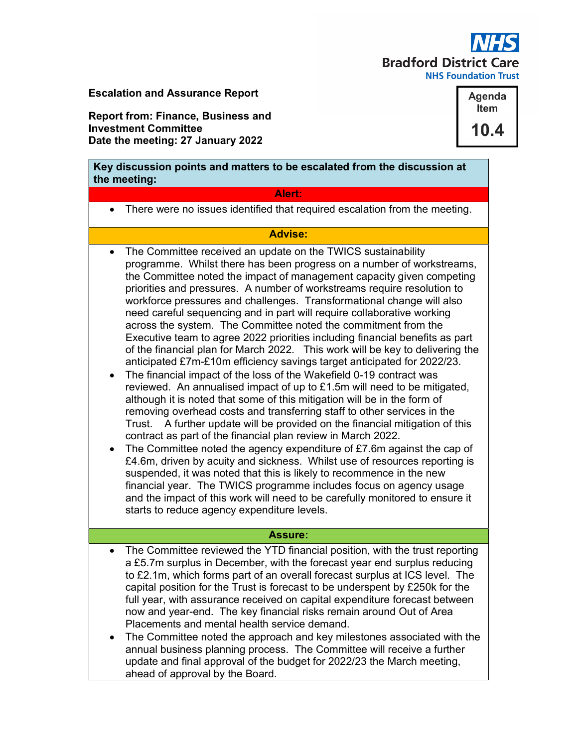

Escalation and Assurance Report

Report from: Finance, Business and Investment Committee Date the meeting: 27 January 2022

Key discussion points and matters to be escalated from the discussion at the meeting:

### Alert:

There were no issues identified that required escalation from the meeting.

## Advise:

- The Committee received an update on the TWICS sustainability programme. Whilst there has been progress on a number of workstreams, the Committee noted the impact of management capacity given competing priorities and pressures. A number of workstreams require resolution to workforce pressures and challenges. Transformational change will also need careful sequencing and in part will require collaborative working across the system. The Committee noted the commitment from the Executive team to agree 2022 priorities including financial benefits as part of the financial plan for March 2022. This work will be key to delivering the anticipated £7m-£10m efficiency savings target anticipated for 2022/23.
- The financial impact of the loss of the Wakefield 0-19 contract was reviewed. An annualised impact of up to £1.5m will need to be mitigated, although it is noted that some of this mitigation will be in the form of removing overhead costs and transferring staff to other services in the Trust. A further update will be provided on the financial mitigation of this contract as part of the financial plan review in March 2022.
- The Committee noted the agency expenditure of  $E7.6m$  against the cap of £4.6m, driven by acuity and sickness. Whilst use of resources reporting is suspended, it was noted that this is likely to recommence in the new financial year. The TWICS programme includes focus on agency usage and the impact of this work will need to be carefully monitored to ensure it starts to reduce agency expenditure levels.

#### Assure:

- The Committee reviewed the YTD financial position, with the trust reporting a £5.7m surplus in December, with the forecast year end surplus reducing to £2.1m, which forms part of an overall forecast surplus at ICS level. The capital position for the Trust is forecast to be underspent by £250k for the full year, with assurance received on capital expenditure forecast between now and year-end. The key financial risks remain around Out of Area Placements and mental health service demand.
- The Committee noted the approach and key milestones associated with the annual business planning process. The Committee will receive a further update and final approval of the budget for 2022/23 the March meeting, ahead of approval by the Board.

Agenda Item 10.4